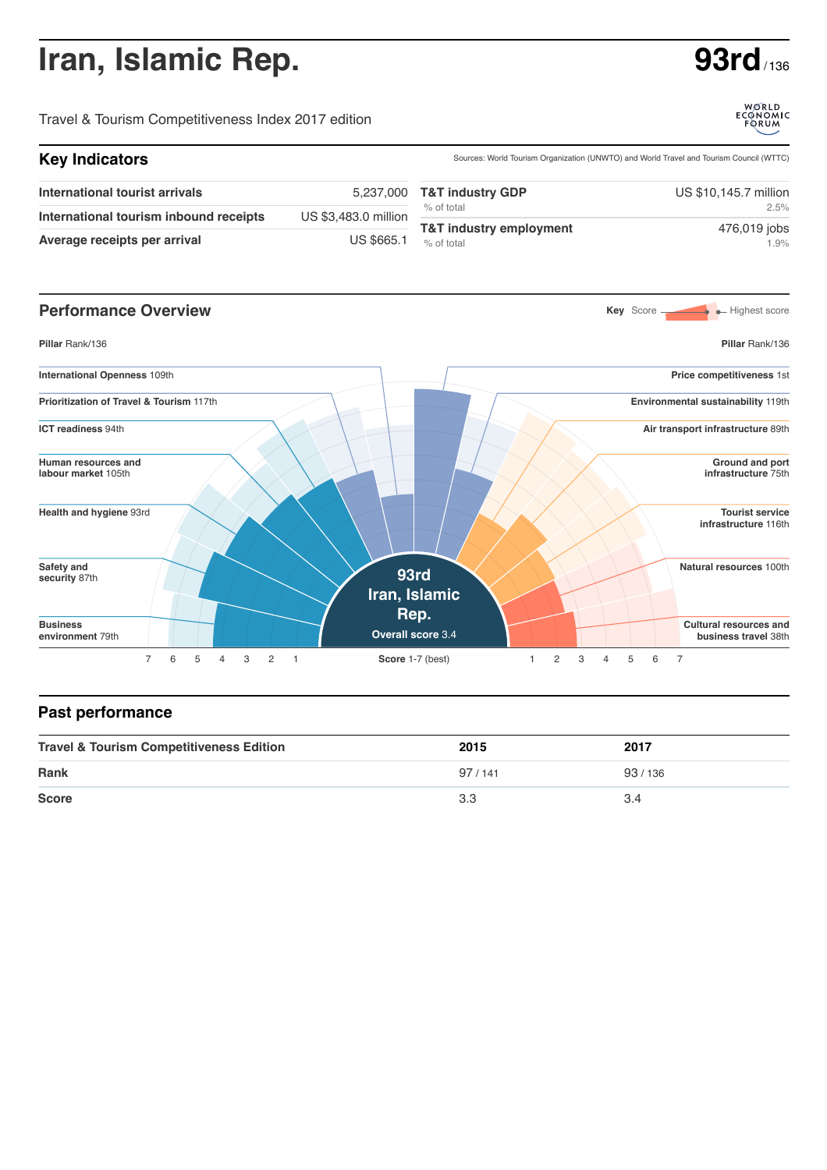## **Iran, Islamic Rep. 63rd** / 136

Travel & Tourism Competitiveness Index 2017 edition

| <b>Key Indicators</b>                  |                      | Sources: World Tourism Organization (UNWTO) and World Travel and Tourism Council (WTTC) |                       |  |
|----------------------------------------|----------------------|-----------------------------------------------------------------------------------------|-----------------------|--|
| International tourist arrivals         |                      | 5,237,000 T&T industry GDP                                                              | US \$10,145.7 million |  |
| International tourism inbound receipts | US \$3,483.0 million | % of total                                                                              | 2.5%                  |  |
| Average receipts per arrival           | <b>US \$665.1</b>    | T&T industry employment<br>% of total                                                   | 476,019 jobs<br>1.9%  |  |



## **Past performance**

| <b>Travel &amp; Tourism Competitiveness Edition</b> | 2015   | 2017     |
|-----------------------------------------------------|--------|----------|
| <b>Rank</b>                                         | 97/141 | 93 / 136 |
| <b>Score</b>                                        | 3.3    | 3.4      |



WORLD<br>ECONOMIC<br>FORUM